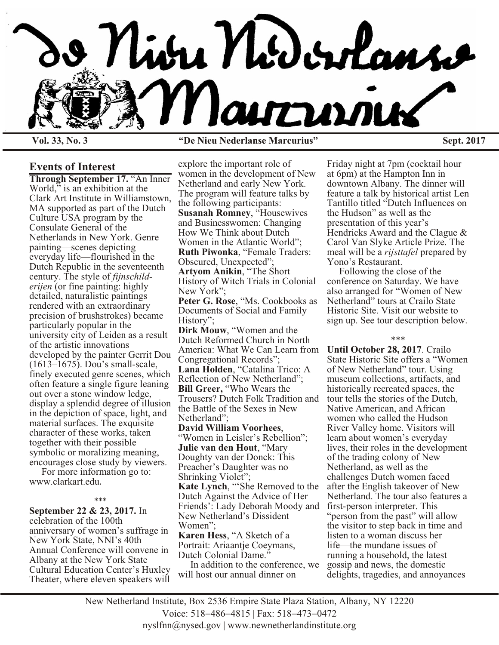

**Vol. 33, No. 3 "De Nieu Nederlanse Marcurius" Sept. 2017**

## **Events of Interest**

**Through September 17.** "An Inner World," is an exhibition at the Clark Art Institute in Williamstown, MA supported as part of the Dutch Culture USA program by the Consulate General of the Netherlands in New York. Genre painting—scenes depicting everyday life—flourished in the Dutch Republic in the seventeenth century. The style of *fijnschilderijen* (or fine painting: highly detailed, naturalistic paintings rendered with an extraordinary precision of brushstrokes) became particularly popular in the university city of Leiden as a result of the artistic innovations developed by the painter Gerrit Dou (1613–1675). Dou's small-scale, finely executed genre scenes, which often feature a single figure leaning out over a stone window ledge, display a splendid degree of illusion in the depiction of space, light, and material surfaces. The exquisite character of these works, taken together with their possible symbolic or moralizing meaning, encourages close study by viewers.

 For more information go to: www.clarkart.edu.

### \*\*\*

**September 22 & 23, 2017.** In celebration of the 100th anniversary of women's suffrage in New York State, NNI's 40th Annual Conference will convene in Albany at the New York State Cultural Education Center's Huxley Theater, where eleven speakers will

explore the important role of women in the development of New Netherland and early New York. The program will feature talks by the following participants: **Susanah Romney**, "Housewives and Businesswomen: Changing How We Think about Dutch Women in the Atlantic World"; **Ruth Piwonka**, "Female Traders: Obscured, Unexpected"; **Artyom Anikin**, "The Short History of Witch Trials in Colonial New York"; **Peter G. Rose**, "Ms. Cookbooks as Documents of Social and Family History"; **Dirk Mouw**, "Women and the Dutch Reformed Church in North America: What We Can Learn from Congregational Records"; **Lana Holden**, "Catalina Trico: A Reflection of New Netherland"; **Bill Greer,** "Who Wears the Trousers? Dutch Folk Tradition and the Battle of the Sexes in New Netherland"; **David William Voorhees**, "Women in Leisler's Rebellion"; **Julie van den Hout**, "Mary Doughty van der Donck: This Preacher's Daughter was no Shrinking Violet"; **Kate Lynch**, "'She Removed to the Dutch Against the Advice of Her Friends': Lady Deborah Moody and New Netherland's Dissident Women"; **Karen Hess**, "A Sketch of a Portrait: Ariaantje Coeymans,

Dutch Colonial Dame."

 In addition to the conference, we will host our annual dinner on

Friday night at 7pm (cocktail hour at 6pm) at the Hampton Inn in downtown Albany. The dinner will feature a talk by historical artist Len Tantillo titled "Dutch Influences on the Hudson" as well as the presentation of this year's Hendricks Award and the Clague & Carol Van Slyke Article Prize. The meal will be a *rijsttafel* prepared by Yono's Restaurant.

 Following the close of the conference on Saturday. We have also arranged for "Women of New Netherland" tours at Crailo State Historic Site. Visit our website to sign up. See tour description below.

\*\*\*

**Until October 28, 2017**. Crailo State Historic Site offers a "Women of New Netherland" tour. Using museum collections, artifacts, and historically recreated spaces, the tour tells the stories of the Dutch, Native American, and African women who called the Hudson River Valley home. Visitors will learn about women's everyday lives, their roles in the development of the trading colony of New Netherland, as well as the challenges Dutch women faced after the English takeover of New Netherland. The tour also features a first-person interpreter. This "person from the past" will allow the visitor to step back in time and listen to a woman discuss her life—the mundane issues of running a household, the latest gossip and news, the domestic delights, tragedies, and annoyances

New Netherland Institute, Box 2536 Empire State Plaza Station, Albany, NY 12220 Voice: 518 486 4815 | Fax: 518 473 0472 nyslfnn@nysed.gov | www.newnetherlandinstitute.org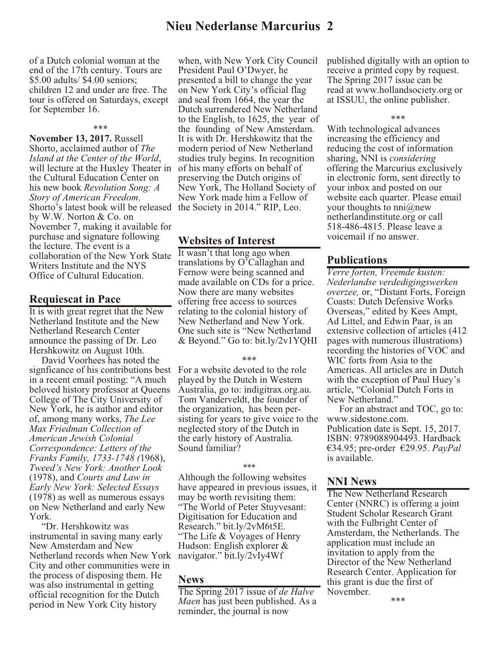# **Nieu Nederlanse Marcurius 2**

of a Dutch colonial woman at the end of the 17th century. Tours are \$5.00 adults/ \$4.00 seniors; children 12 and under are free. The tour is offered on Saturdays, except for September 16.

#### \*\*\*

**November 13, 2017.** Russell Shorto, acclaimed author of *The Island at the Center of the World*, will lecture at the Huxley Theater in the Cultural Education Center on his new book *Revolution Song: A Story of American Freedom*. Shorto's latest book will be released the Society in 2014." RIP, Leo. by W.W. Norton & Co. on November 7, making it available for purchase and signature following the lecture. The event is a collaboration of the New York State Writers Institute and the NYS Office of Cultural Education.

## **Requiescat in Pace**

It is with great regret that the New Netherland Institute and the New Netherland Research Center announce the passing of Dr. Leo Hershkowitz on August 10th.

 David Voorhees has noted the signficance of his contributions best in a recent email posting: "A much beloved history professor at Queens College of The City University of New York, he is author and editor of, among many works, *The Lee Max Friedman Collection of American Jewish Colonial Correspondence: Letters of the Franks Family, 1733-1748 (*1968), *Tweed's New York: Another Look* (1978), and *Courts and Law in Early New York: Selected Essays* (1978) as well as numerous essays on New Netherland and early New York.

 "Dr. Hershkowitz was instrumental in saving many early New Amsterdam and New Netherland records when New York City and other communities were in the process of disposing them. He was also instrumental in getting official recognition for the Dutch period in New York City history

when, with New York City Council President Paul O'Dwyer, he presented a bill to change the year on New York City's official flag and seal from 1664, the year the Dutch surrendered New Netherland to the English, to 1625, the year of the founding of New Amsterdam. It is with Dr. Hershkowitz that the modern period of New Netherland studies truly begins. In recognition of his many efforts on behalf of preserving the Dutch origins of New York, The Holland Society of New York made him a Fellow of

## **Websites of Interest**

It wasn't that long ago when translations by O'Callaghan and Fernow were being scanned and made available on CDs for a price. Now there are many websites offering free access to sources relating to the colonial history of New Netherland and New York. One such site is "New Netherland & Beyond." Go to: bit.ly/2v1YQHI

### \*\*\*

For a website devoted to the role played by the Dutch in Western Australia, go to: indigitrax.org.au. Tom Vanderveldt, the founder of the organization, has been persisting for years to give voice to the neglected story of the Dutch in the early history of Australia. Sound familiar?

## \*\*\*

Although the following websites have appeared in previous issues, it may be worth revisiting them: "The World of Peter Stuyvesant: Digitisation for Education and Research." bit.ly/2vM6t5E. "The Life & Voyages of Henry Hudson: English explorer & navigator." bit.ly/2vIy4Wf

## **News**

The Spring 2017 issue of *de Halve Maen* has just been published. As a reminder, the journal is now

published digitally with an option to receive a printed copy by request. The Spring 2017 issue can be read at www.hollandsociety.org or at ISSUU, the online publisher.

#### \*\*\*

With technological advances increasing the efficiency and reducing the cost of information sharing, NNI is *considering* offering the Marcurius exclusively in electronic form, sent directly to your inbox and posted on our website each quarter. Please email your thoughts to nni@new netherlandinstitute.org or call 518-486-4815. Please leave a voicemail if no answer.

## **Publications**

*Verre forten, Vreemde kusten: Nederlandse verdedigingswerken overzee,* or, "Distant Forts, Foreign Coasts: Dutch Defensive Works Overseas," edited by Kees Ampt, Ad Littel, and Edwin Paar, is an extensive collection of articles (412 pages with numerous illustrations) recording the histories of VOC and WIC forts from Asia to the Americas. All articles are in Dutch with the exception of Paul Huey's article, "Colonial Dutch Forts in New Netherland."

 For an abstract and TOC, go to: www.sidestone.com. Publication date is Sept. 15, 2017. ISBN: 9789088904493. Hardback €34.95; pre-order €29.95. *PayPal* is available.

## **NNI News**

The New Netherland Research Center (NNRC) is offering a joint Student Scholar Research Grant with the Fulbright Center of Amsterdam, the Netherlands. The application must include an invitation to apply from the Director of the New Netherland Research Center. Application for this grant is due the first of November.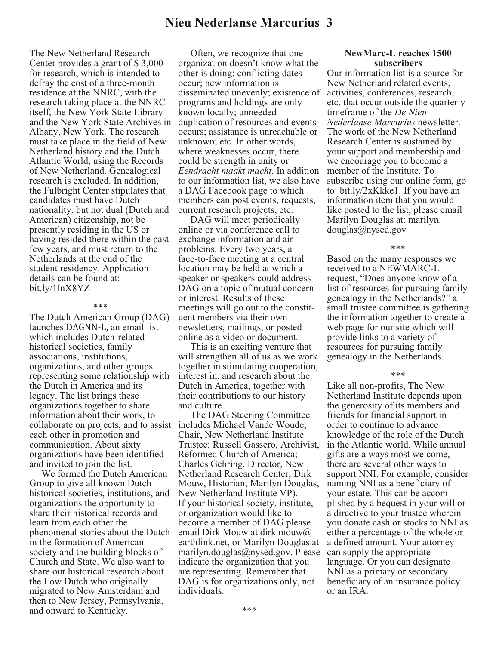# **Nieu Nederlanse Marcurius 3**

The New Netherland Research Center provides a grant of \$ 3,000 for research, which is intended to defray the cost of a three-month residence at the NNRC, with the research taking place at the NNRC itself, the New York State Library and the New York State Archives in Albany, New York. The research must take place in the field of New Netherland history and the Dutch Atlantic World, using the Records of New Netherland. Genealogical research is excluded. In addition, the Fulbright Center stipulates that candidates must have Dutch nationality, but not dual (Dutch and American) citizenship, not be presently residing in the US or having resided there within the past few years, and must return to the Netherlands at the end of the student residency. Application details can be found at: bit.ly/1lnX8YZ

#### \*\*\*

The Dutch American Group (DAG) launches DAGNN-L, an email list which includes Dutch-related historical societies, family associations, institutions, organizations, and other groups representing some relationship with the Dutch in America and its legacy. The list brings these organizations together to share information about their work, to collaborate on projects, and to assist includes Michael Vande Woude, each other in promotion and communication. About sixty organizations have been identified and invited to join the list.

 We formed the Dutch American Group to give all known Dutch historical societies, institutions, and organizations the opportunity to share their historical records and learn from each other the phenomenal stories about the Dutch in the formation of American society and the building blocks of Church and State. We also want to share our historical research about the Low Dutch who originally migrated to New Amsterdam and then to New Jersey, Pennsylvania, and onward to Kentucky.

 Often, we recognize that one organization doesn't know what the other is doing: conflicting dates occur; new information is disseminated unevenly; existence of programs and holdings are only known locally; unneeded duplication of resources and events occurs; assistance is unreachable or unknown; etc. In other words, where weaknesses occur, there could be strength in unity or *Eendracht maakt macht*. In addition to our information list, we also have a DAG Facebook page to which members can post events, requests, current research projects, etc.

 DAG will meet periodically online or via conference call to exchange information and air problems. Every two years, a face-to-face meeting at a central location may be held at which a speaker or speakers could address DAG on a topic of mutual concern or interest. Results of these meetings will go out to the constituent members via their own newsletters, mailings, or posted online as a video or document.

 This is an exciting venture that will strengthen all of us as we work together in stimulating cooperation, interest in, and research about the Dutch in America, together with their contributions to our history and culture.

 The DAG Steering Committee Chair, New Netherland Institute Trustee; Russell Gassero, Archivist, Reformed Church of America; Charles Gehring, Director, New Netherland Research Center; Dirk Mouw, Historian; Marilyn Douglas, New Netherland Institute VP). If your historical society, institute, or organization would like to become a member of DAG please email Dirk Mouw at dirk.mouw@ earthlink.net, or Marilyn Douglas at marilyn.douglas@nysed.gov. Please indicate the organization that you are representing. Remember that DAG is for organizations only, not individuals.

## **NewMarc-L reaches 1500 subscribers**

Our information list is a source for New Netherland related events, activities, conferences, research, etc. that occur outside the quarterly timeframe of the *De Nieu Nederlanse Marcurius* newsletter. The work of the New Netherland Research Center is sustained by your support and membership and we encourage you to become a member of the Institute. To subscribe using our online form, go to: bit.ly/2xKkke1. If you have an information item that you would like posted to the list, please email Marilyn Douglas at: marilyn. douglas@nysed.gov

#### \*\*\*

Based on the many responses we received to a NEWMARC-L request, "Does anyone know of a list of resources for pursuing family genealogy in the Netherlands?" a small trustee committee is gathering the information together to create a web page for our site which will provide links to a variety of resources for pursuing family genealogy in the Netherlands.

#### \*\*\*

Like all non-profits, The New Netherland Institute depends upon the generosity of its members and friends for financial support in order to continue to advance knowledge of the role of the Dutch in the Atlantic world. While annual gifts are always most welcome, there are several other ways to support NNI. For example, consider naming NNI as a beneficiary of your estate. This can be accomplished by a bequest in your will or a directive to your trustee wherein you donate cash or stocks to NNI as either a percentage of the whole or a defined amount. Your attorney can supply the appropriate language. Or you can designate NNI as a primary or secondary beneficiary of an insurance policy or an IRA.